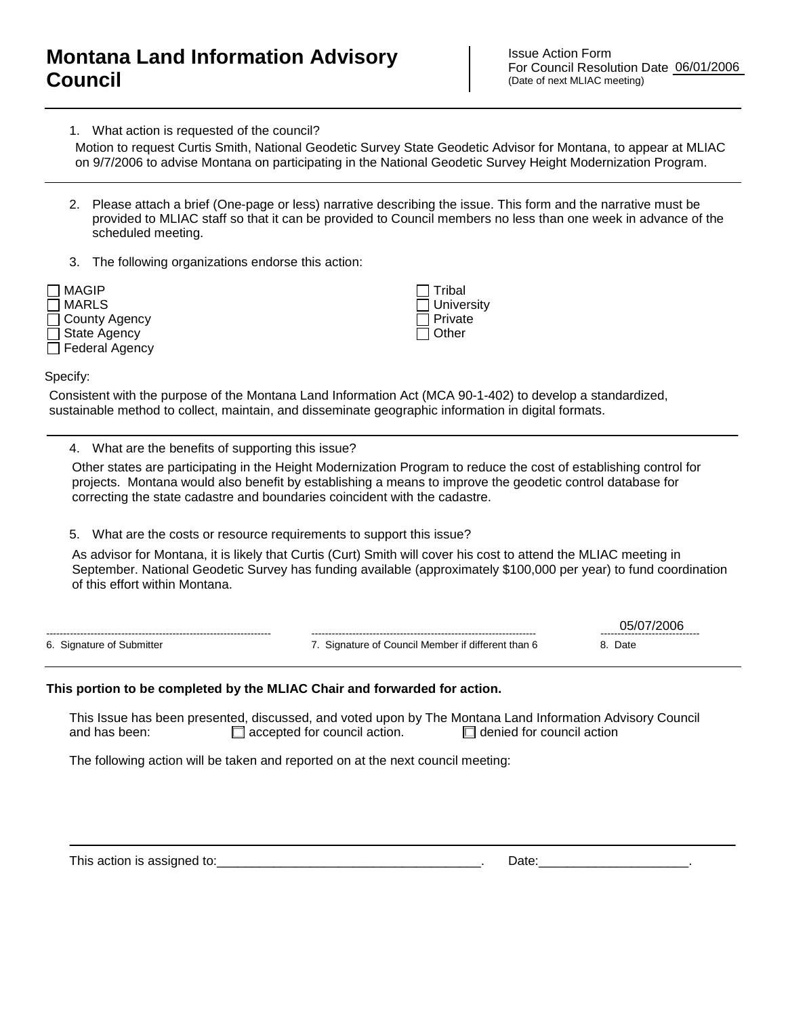## **Montana Land Information Advisory Council**

Issue Action Form For Council Resolution Date 06/01/2006 (Date of next MLIAC meeting)

1. What action is requested of the council?

on 9/7/2006 to advise Montana on participating in the National Geodetic Survey Height Modernization Program.

- 2. Please attach a brief (One-page or less) narrative describing the issue. This form and the narrative must be provided to MLIAC staff so that it can be provided to Council members no less than one week in advance of the scheduled meeting. Motion to request Curtis Smith, National Geodetic Survey State Geodetic Advisor for Montana, to appear at MLIAC<br>
on 97/2006 to advise Montana on participating in the National Geodetic Survey Height Modernization Program.<br>
- 3. The following organizations endorse this action:

| $\neg$ MAGIP          |
|-----------------------|
| ่   MARLS             |
| □ County Agency       |
| $\Box$ State Agency   |
| $\Box$ Federal Agency |
|                       |

 Tribal **University**  Private  $\Box$  Other

Specify:

Consistent with the purpose of the Montana Land Information Act (MCA 90-1-402) to develop a standardized, sustainable method to collect, maintain, and disseminate geographic information in digital formats.

4. What are the benefits of supporting this issue?

Other states are participating in the Height Modernization Program to reduce the cost of establishing control for projects. Montana would also benefit by establishing a means to improve the geodetic control database for correcting the state cadastre and boundaries coincident with the cadastre.

5. What are the costs or resource requirements to support this issue?

As advisor for Montana, it is likely that Curtis (Curt) Smith will cover his cost to attend the MLIAC meeting in September. National Geodetic Survey has funding available (approximately \$100,000 per year) to fund coordination

|                                        |                                                    | ------------------------------ |
|----------------------------------------|----------------------------------------------------|--------------------------------|
| 6. Signature<br>∵Submittei<br>∩t<br>v. | Signature of Council Member if different<br>than 6 | Date                           |

## **This portion to be completed by the MLIAC Chair and forwarded for action.**

This Issue has been presented, discussed, and voted upon by The Montana Land Information Advisory Council and has been:  $\Box$  accepted for council action.  $\Box$  denied for council action

The following action will be taken and reported on at the next council meeting:

This action is assigned to:\_\_\_\_\_\_\_\_\_\_\_\_\_\_\_\_\_\_\_\_\_\_\_\_\_\_\_\_\_\_\_\_\_\_\_\_\_. Date:\_\_\_\_\_\_\_\_\_\_\_\_\_\_\_\_\_\_\_\_\_.